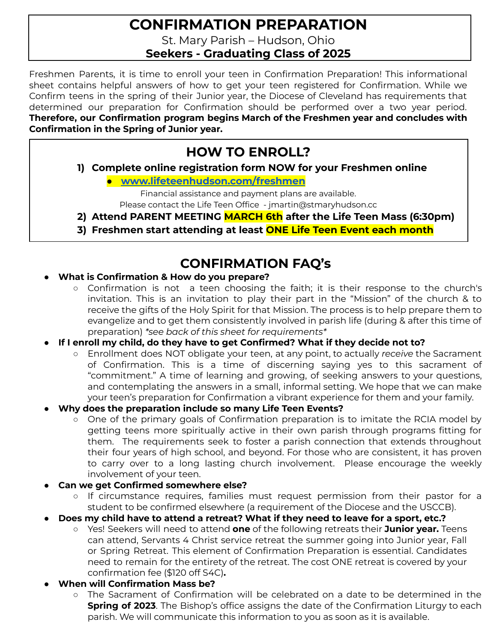## **CONFIRMATION PREPARATION**

St. Mary Parish – Hudson, Ohio

**Seekers - Graduating Class of 2025**

Freshmen Parents, it is time to enroll your teen in Confirmation Preparation! This informational sheet contains helpful answers of how to get your teen registered for Confirmation. While we Confirm teens in the spring of their Junior year, the Diocese of Cleveland has requirements that determined our preparation for Confirmation should be performed over a two year period. **Therefore, our Confirmation program begins March of the Freshmen year and concludes with Confirmation in the Spring of Junior year.**

## **HOW TO ENROLL?**

**1) Complete online registration form NOW for your Freshmen online**

**● [www.lifeteenhudson.com/freshmen](http://www.lifeteenhudson.com/freshmen)**

Financial assistance and payment plans are available. Please contact the Life Teen Office - jmartin@stmaryhudson.cc

- **2) Attend PARENT MEETING MARCH 6th after the Life Teen Mass (6:30pm)**
- **3) Freshmen start attending at least ONE Life Teen Event each month**

### **CONFIRMATION FAQ's**

- **What is Confirmation & How do you prepare?**
	- Confirmation is not a teen choosing the faith; it is their response to the church's invitation. This is an invitation to play their part in the "Mission" of the church & to receive the gifts of the Holy Spirit for that Mission. The process is to help prepare them to evangelize and to get them consistently involved in parish life (during & after this time of preparation) *\*see back of this sheet for requirements\**
- **● If I enroll my child, do they have to get Confirmed? What if they decide not to?**
	- Enrollment does NOT obligate your teen, at any point, to actually *receive* the Sacrament of Confirmation. This is a time of discerning saying yes to this sacrament of "commitment." A time of learning and growing, of seeking answers to your questions, and contemplating the answers in a small, informal setting. We hope that we can make your teen's preparation for Confirmation a vibrant experience for them and your family.
- **● Why does the preparation include so many Life Teen Events?**
	- One of the primary goals of Confirmation preparation is to imitate the RCIA model by getting teens more spiritually active in their own parish through programs fitting for them. The requirements seek to foster a parish connection that extends throughout their four years of high school, and beyond. For those who are consistent, it has proven to carry over to a long lasting church involvement. Please encourage the weekly involvement of your teen.
- **● Can we get Confirmed somewhere else?**
	- If circumstance requires, families must request permission from their pastor for a student to be confirmed elsewhere (a requirement of the Diocese and the USCCB).
- **● Does my child have to attend a retreat? What if they need to leave for a sport, etc.?**
	- **○** Yes! Seekers will need to attend **one** of the following retreats their **Junior year.** Teens can attend, Servants 4 Christ service retreat the summer going into Junior year, Fall or Spring Retreat. This element of Confirmation Preparation is essential. Candidates need to remain for the entirety of the retreat. The cost ONE retreat is covered by your confirmation fee (\$120 off S4C)**.**
- **● When will Confirmation Mass be?**
	- The Sacrament of Confirmation will be celebrated on a date to be determined in the **Spring of 2023**. The Bishop's office assigns the date of the Confirmation Liturgy to each parish. We will communicate this information to you as soon as it is available.